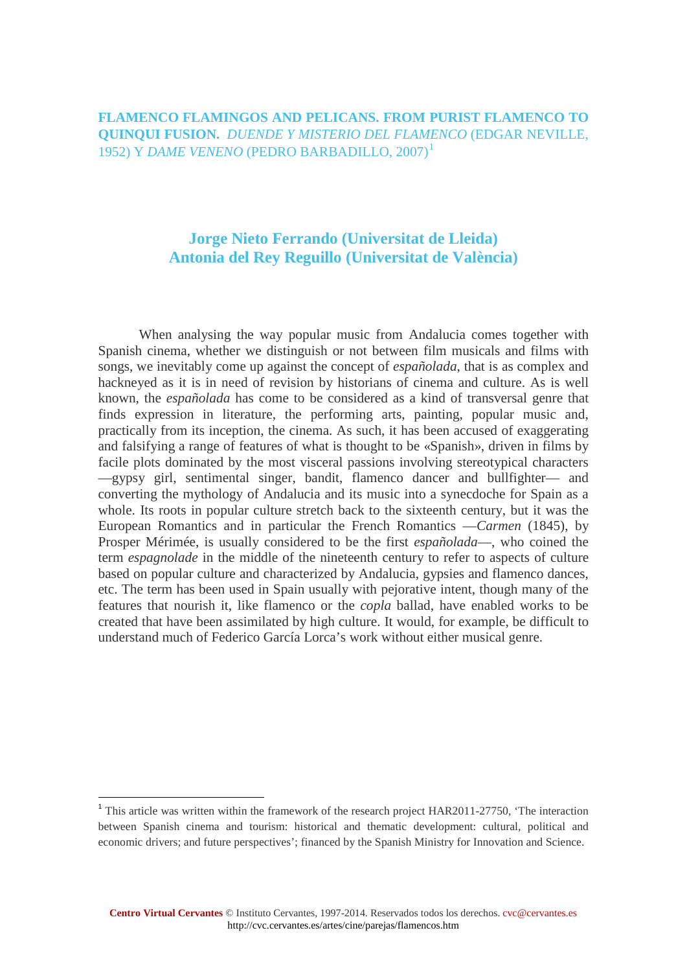**FLAMENCO FLAMINGOS AND PELICANS. FROM PURIST FLAMENCO TO QUINQUI FUSION.** *DUENDE Y MISTERIO DEL FLAMENCO* (EDGAR NEVILLE, 1952) Y *DAME VENENO* (PEDRO BARBADILLO, 2007)[1](#page-0-0)

#### **Jorge Nieto Ferrando (Universitat de Lleida) Antonia del Rey Reguillo (Universitat de València)**

When analysing the way popular music from Andalucia comes together with Spanish cinema, whether we distinguish or not between film musicals and films with songs, we inevitably come up against the concept of *españolada*, that is as complex and hackneyed as it is in need of revision by historians of cinema and culture. As is well known, the *españolada* has come to be considered as a kind of transversal genre that finds expression in literature, the performing arts, painting, popular music and, practically from its inception, the cinema. As such, it has been accused of exaggerating and falsifying a range of features of what is thought to be «Spanish», driven in films by facile plots dominated by the most visceral passions involving stereotypical characters —gypsy girl, sentimental singer, bandit, flamenco dancer and bullfighter— and converting the mythology of Andalucia and its music into a synecdoche for Spain as a whole. Its roots in popular culture stretch back to the sixteenth century, but it was the European Romantics and in particular the French Romantics —*Carmen* (1845), by Prosper Mérimée, is usually considered to be the first *españolada*—, who coined the term *espagnolade* in the middle of the nineteenth century to refer to aspects of culture based on popular culture and characterized by Andalucia, gypsies and flamenco dances, etc. The term has been used in Spain usually with pejorative intent, though many of the features that nourish it, like flamenco or the *copla* ballad, have enabled works to be created that have been assimilated by high culture. It would, for example, be difficult to understand much of Federico García Lorca's work without either musical genre.

**.** 

<span id="page-0-0"></span><sup>&</sup>lt;sup>1</sup> This article was written within the framework of the research project HAR2011-27750, 'The interaction between Spanish cinema and tourism: historical and thematic development: cultural, political and economic drivers; and future perspectives'; financed by the Spanish Ministry for Innovation and Science.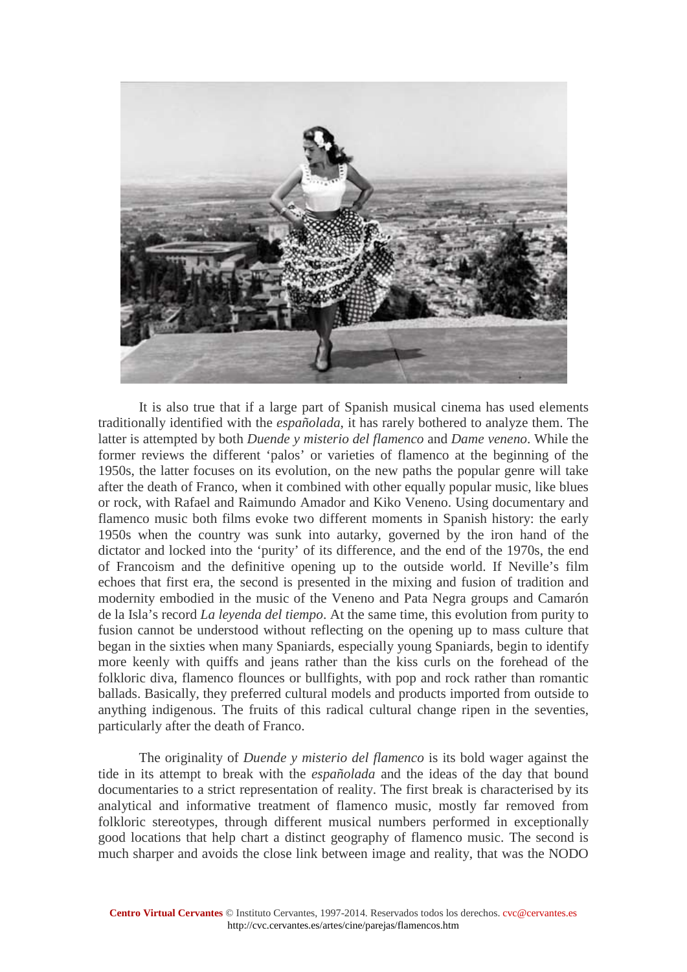

It is also true that if a large part of Spanish musical cinema has used elements traditionally identified with the *españolada*, it has rarely bothered to analyze them. The latter is attempted by both *Duende y misterio del flamenco* and *Dame veneno*. While the former reviews the different 'palos' or varieties of flamenco at the beginning of the 1950s, the latter focuses on its evolution, on the new paths the popular genre will take after the death of Franco, when it combined with other equally popular music, like blues or rock, with Rafael and Raimundo Amador and Kiko Veneno. Using documentary and flamenco music both films evoke two different moments in Spanish history: the early 1950s when the country was sunk into autarky, governed by the iron hand of the dictator and locked into the 'purity' of its difference, and the end of the 1970s, the end of Francoism and the definitive opening up to the outside world. If Neville's film echoes that first era, the second is presented in the mixing and fusion of tradition and modernity embodied in the music of the Veneno and Pata Negra groups and Camarón de la Isla's record *La leyenda del tiempo*. At the same time, this evolution from purity to fusion cannot be understood without reflecting on the opening up to mass culture that began in the sixties when many Spaniards, especially young Spaniards, begin to identify more keenly with quiffs and jeans rather than the kiss curls on the forehead of the folkloric diva, flamenco flounces or bullfights, with pop and rock rather than romantic ballads. Basically, they preferred cultural models and products imported from outside to anything indigenous. The fruits of this radical cultural change ripen in the seventies, particularly after the death of Franco.

The originality of *Duende y misterio del flamenco* is its bold wager against the tide in its attempt to break with the *españolada* and the ideas of the day that bound documentaries to a strict representation of reality. The first break is characterised by its analytical and informative treatment of flamenco music, mostly far removed from folkloric stereotypes, through different musical numbers performed in exceptionally good locations that help chart a distinct geography of flamenco music. The second is much sharper and avoids the close link between image and reality, that was the NODO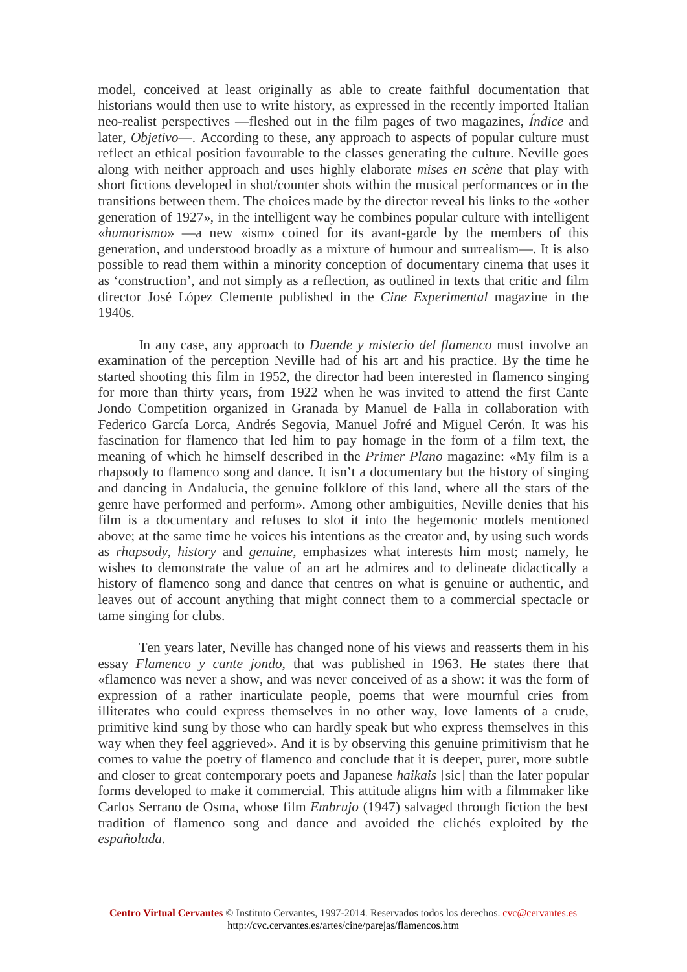model, conceived at least originally as able to create faithful documentation that historians would then use to write history, as expressed in the recently imported Italian neo-realist perspectives —fleshed out in the film pages of two magazines, *Índice* and later, *Objetivo*—. According to these, any approach to aspects of popular culture must reflect an ethical position favourable to the classes generating the culture. Neville goes along with neither approach and uses highly elaborate *mises en scène* that play with short fictions developed in shot/counter shots within the musical performances or in the transitions between them. The choices made by the director reveal his links to the «other generation of 1927», in the intelligent way he combines popular culture with intelligent «*humorismo*» —a new «ism» coined for its avant-garde by the members of this generation, and understood broadly as a mixture of humour and surrealism—. It is also possible to read them within a minority conception of documentary cinema that uses it as 'construction', and not simply as a reflection, as outlined in texts that critic and film director José López Clemente published in the *Cine Experimental* magazine in the 1940s.

In any case, any approach to *Duende y misterio del flamenco* must involve an examination of the perception Neville had of his art and his practice. By the time he started shooting this film in 1952, the director had been interested in flamenco singing for more than thirty years, from 1922 when he was invited to attend the first Cante Jondo Competition organized in Granada by Manuel de Falla in collaboration with Federico García Lorca, Andrés Segovia, Manuel Jofré and Miguel Cerón. It was his fascination for flamenco that led him to pay homage in the form of a film text, the meaning of which he himself described in the *Primer Plano* magazine: «My film is a rhapsody to flamenco song and dance. It isn't a documentary but the history of singing and dancing in Andalucia, the genuine folklore of this land, where all the stars of the genre have performed and perform». Among other ambiguities, Neville denies that his film is a documentary and refuses to slot it into the hegemonic models mentioned above; at the same time he voices his intentions as the creator and, by using such words as *rhapsody*, *history* and *genuine*, emphasizes what interests him most; namely, he wishes to demonstrate the value of an art he admires and to delineate didactically a history of flamenco song and dance that centres on what is genuine or authentic, and leaves out of account anything that might connect them to a commercial spectacle or tame singing for clubs.

Ten years later, Neville has changed none of his views and reasserts them in his essay *Flamenco y cante jondo*, that was published in 1963. He states there that «flamenco was never a show, and was never conceived of as a show: it was the form of expression of a rather inarticulate people, poems that were mournful cries from illiterates who could express themselves in no other way, love laments of a crude, primitive kind sung by those who can hardly speak but who express themselves in this way when they feel aggrieved». And it is by observing this genuine primitivism that he comes to value the poetry of flamenco and conclude that it is deeper, purer, more subtle and closer to great contemporary poets and Japanese *haikais* [sic] than the later popular forms developed to make it commercial. This attitude aligns him with a filmmaker like Carlos Serrano de Osma, whose film *Embrujo* (1947) salvaged through fiction the best tradition of flamenco song and dance and avoided the clichés exploited by the *españolada*.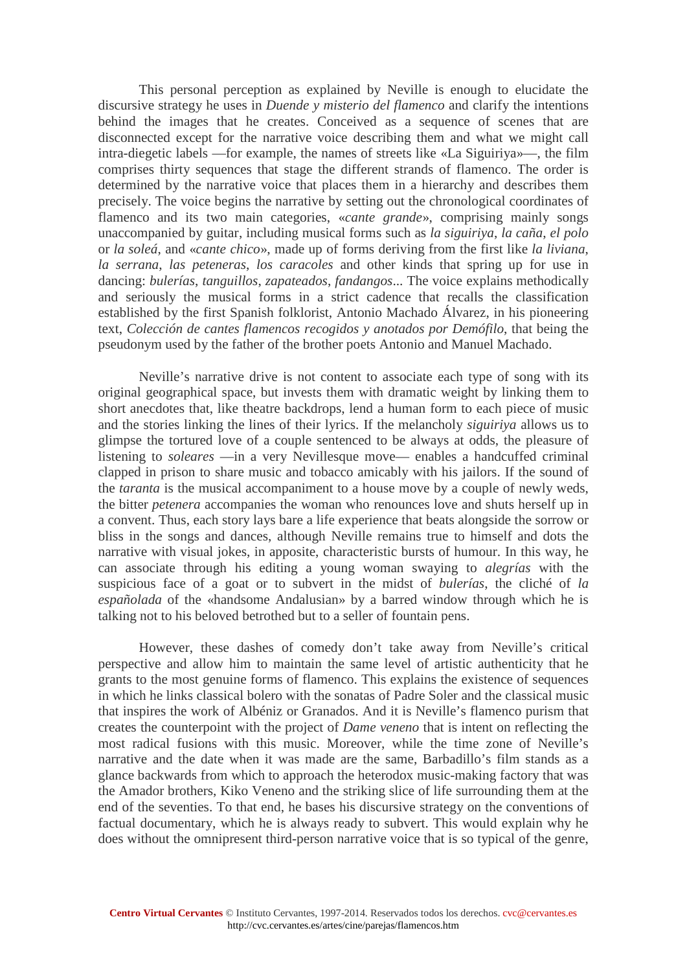This personal perception as explained by Neville is enough to elucidate the discursive strategy he uses in *Duende y misterio del flamenco* and clarify the intentions behind the images that he creates. Conceived as a sequence of scenes that are disconnected except for the narrative voice describing them and what we might call intra-diegetic labels —for example, the names of streets like «La Siguiriya»—, the film comprises thirty sequences that stage the different strands of flamenco. The order is determined by the narrative voice that places them in a hierarchy and describes them precisely. The voice begins the narrative by setting out the chronological coordinates of flamenco and its two main categories, «*cante grande*», comprising mainly songs unaccompanied by guitar, including musical forms such as *la siguiriya*, *la caña*, *el polo* or *la soleá*, and «*cante chico*», made up of forms deriving from the first like *la liviana*, *la serrana*, *las peteneras*, *los caracoles* and other kinds that spring up for use in dancing: *bulerías*, *tanguillos*, *zapateados*, *fandangos*... The voice explains methodically and seriously the musical forms in a strict cadence that recalls the classification established by the first Spanish folklorist, Antonio Machado Álvarez, in his pioneering text, *Colección de cantes flamencos recogidos y anotados por Demófilo*, that being the pseudonym used by the father of the brother poets Antonio and Manuel Machado.

Neville's narrative drive is not content to associate each type of song with its original geographical space, but invests them with dramatic weight by linking them to short anecdotes that, like theatre backdrops, lend a human form to each piece of music and the stories linking the lines of their lyrics. If the melancholy *siguiriya* allows us to glimpse the tortured love of a couple sentenced to be always at odds, the pleasure of listening to *soleares* —in a very Nevillesque move— enables a handcuffed criminal clapped in prison to share music and tobacco amicably with his jailors. If the sound of the *taranta* is the musical accompaniment to a house move by a couple of newly weds, the bitter *petenera* accompanies the woman who renounces love and shuts herself up in a convent. Thus, each story lays bare a life experience that beats alongside the sorrow or bliss in the songs and dances, although Neville remains true to himself and dots the narrative with visual jokes, in apposite, characteristic bursts of humour. In this way, he can associate through his editing a young woman swaying to *alegrías* with the suspicious face of a goat or to subvert in the midst of *bulerías*, the cliché of *la españolada* of the «handsome Andalusian» by a barred window through which he is talking not to his beloved betrothed but to a seller of fountain pens.

However, these dashes of comedy don't take away from Neville's critical perspective and allow him to maintain the same level of artistic authenticity that he grants to the most genuine forms of flamenco. This explains the existence of sequences in which he links classical bolero with the sonatas of Padre Soler and the classical music that inspires the work of Albéniz or Granados. And it is Neville's flamenco purism that creates the counterpoint with the project of *Dame veneno* that is intent on reflecting the most radical fusions with this music. Moreover, while the time zone of Neville's narrative and the date when it was made are the same, Barbadillo's film stands as a glance backwards from which to approach the heterodox music-making factory that was the Amador brothers, Kiko Veneno and the striking slice of life surrounding them at the end of the seventies. To that end, he bases his discursive strategy on the conventions of factual documentary, which he is always ready to subvert. This would explain why he does without the omnipresent third-person narrative voice that is so typical of the genre,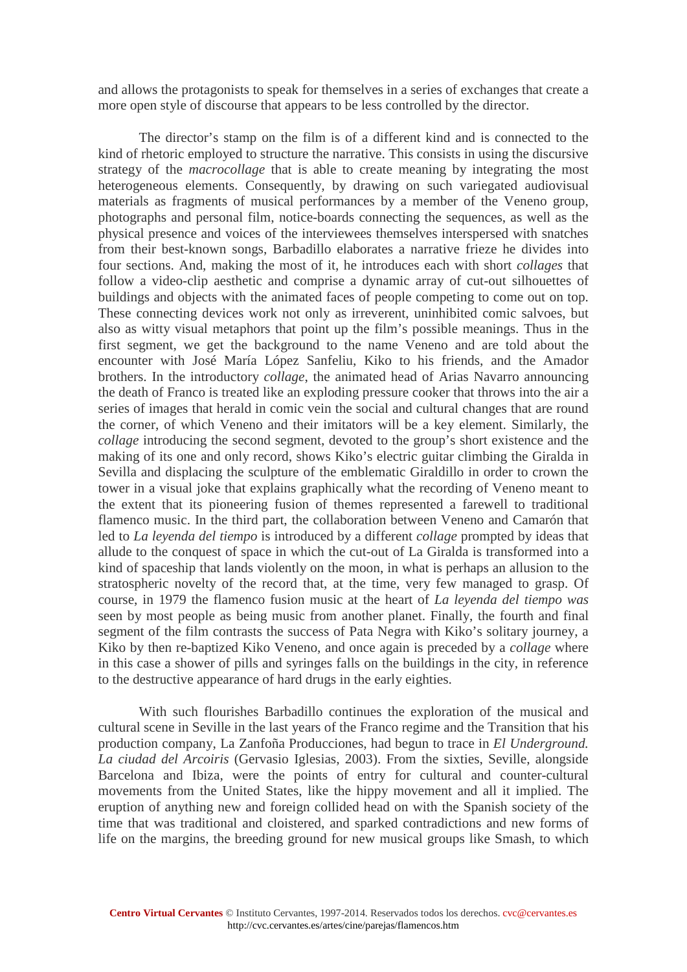and allows the protagonists to speak for themselves in a series of exchanges that create a more open style of discourse that appears to be less controlled by the director.

The director's stamp on the film is of a different kind and is connected to the kind of rhetoric employed to structure the narrative. This consists in using the discursive strategy of the *macrocollage* that is able to create meaning by integrating the most heterogeneous elements. Consequently, by drawing on such variegated audiovisual materials as fragments of musical performances by a member of the Veneno group, photographs and personal film, notice-boards connecting the sequences, as well as the physical presence and voices of the interviewees themselves interspersed with snatches from their best-known songs, Barbadillo elaborates a narrative frieze he divides into four sections. And, making the most of it, he introduces each with short *collages* that follow a video-clip aesthetic and comprise a dynamic array of cut-out silhouettes of buildings and objects with the animated faces of people competing to come out on top. These connecting devices work not only as irreverent, uninhibited comic salvoes, but also as witty visual metaphors that point up the film's possible meanings. Thus in the first segment, we get the background to the name Veneno and are told about the encounter with José María López Sanfeliu, Kiko to his friends, and the Amador brothers. In the introductory *collage*, the animated head of Arias Navarro announcing the death of Franco is treated like an exploding pressure cooker that throws into the air a series of images that herald in comic vein the social and cultural changes that are round the corner, of which Veneno and their imitators will be a key element. Similarly, the *collage* introducing the second segment, devoted to the group's short existence and the making of its one and only record, shows Kiko's electric guitar climbing the Giralda in Sevilla and displacing the sculpture of the emblematic Giraldillo in order to crown the tower in a visual joke that explains graphically what the recording of Veneno meant to the extent that its pioneering fusion of themes represented a farewell to traditional flamenco music. In the third part, the collaboration between Veneno and Camarón that led to *La leyenda del tiempo* is introduced by a different *collage* prompted by ideas that allude to the conquest of space in which the cut-out of La Giralda is transformed into a kind of spaceship that lands violently on the moon, in what is perhaps an allusion to the stratospheric novelty of the record that, at the time, very few managed to grasp. Of course, in 1979 the flamenco fusion music at the heart of *La leyenda del tiempo was* seen by most people as being music from another planet. Finally, the fourth and final segment of the film contrasts the success of Pata Negra with Kiko's solitary journey, a Kiko by then re-baptized Kiko Veneno, and once again is preceded by a *collage* where in this case a shower of pills and syringes falls on the buildings in the city, in reference to the destructive appearance of hard drugs in the early eighties.

With such flourishes Barbadillo continues the exploration of the musical and cultural scene in Seville in the last years of the Franco regime and the Transition that his production company, La Zanfoña Producciones, had begun to trace in *El Underground. La ciudad del Arcoiris* (Gervasio Iglesias, 2003). From the sixties, Seville, alongside Barcelona and Ibiza, were the points of entry for cultural and counter-cultural movements from the United States, like the hippy movement and all it implied. The eruption of anything new and foreign collided head on with the Spanish society of the time that was traditional and cloistered, and sparked contradictions and new forms of life on the margins, the breeding ground for new musical groups like Smash, to which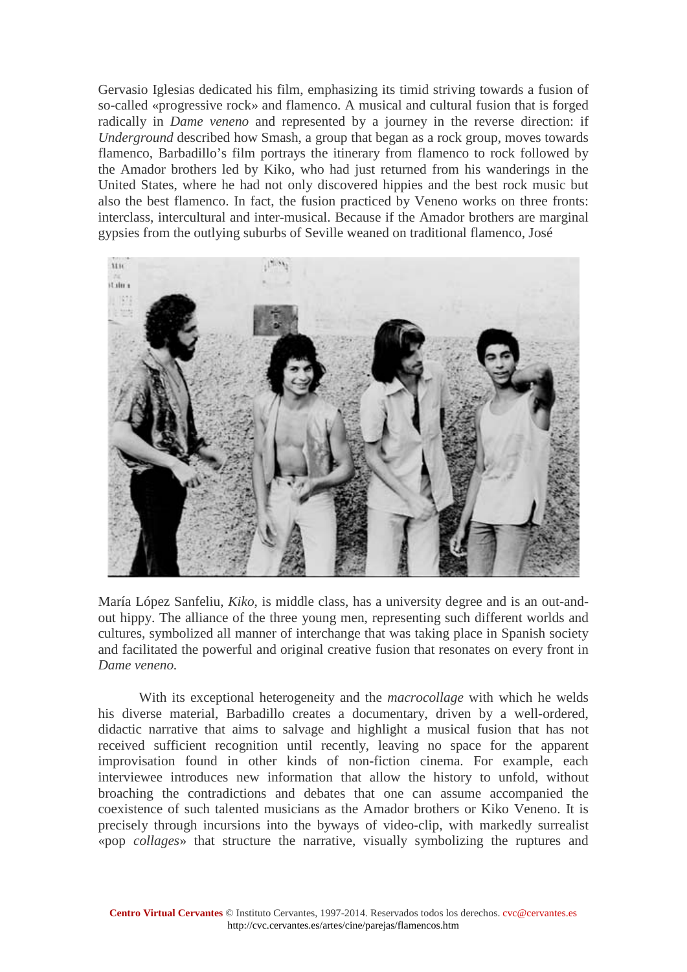Gervasio Iglesias dedicated his film, emphasizing its timid striving towards a fusion of so-called «progressive rock» and flamenco. A musical and cultural fusion that is forged radically in *Dame veneno* and represented by a journey in the reverse direction: if *Underground* described how Smash, a group that began as a rock group, moves towards flamenco, Barbadillo's film portrays the itinerary from flamenco to rock followed by the Amador brothers led by Kiko, who had just returned from his wanderings in the United States, where he had not only discovered hippies and the best rock music but also the best flamenco. In fact, the fusion practiced by Veneno works on three fronts: interclass, intercultural and inter-musical. Because if the Amador brothers are marginal gypsies from the outlying suburbs of Seville weaned on traditional flamenco, José



María López Sanfeliu, *Kiko*, is middle class, has a university degree and is an out-andout hippy. The alliance of the three young men, representing such different worlds and cultures, symbolized all manner of interchange that was taking place in Spanish society and facilitated the powerful and original creative fusion that resonates on every front in *Dame veneno.*

With its exceptional heterogeneity and the *macrocollage* with which he welds his diverse material, Barbadillo creates a documentary, driven by a well-ordered, didactic narrative that aims to salvage and highlight a musical fusion that has not received sufficient recognition until recently, leaving no space for the apparent improvisation found in other kinds of non-fiction cinema. For example, each interviewee introduces new information that allow the history to unfold, without broaching the contradictions and debates that one can assume accompanied the coexistence of such talented musicians as the Amador brothers or Kiko Veneno. It is precisely through incursions into the byways of video-clip, with markedly surrealist «pop *collages*» that structure the narrative, visually symbolizing the ruptures and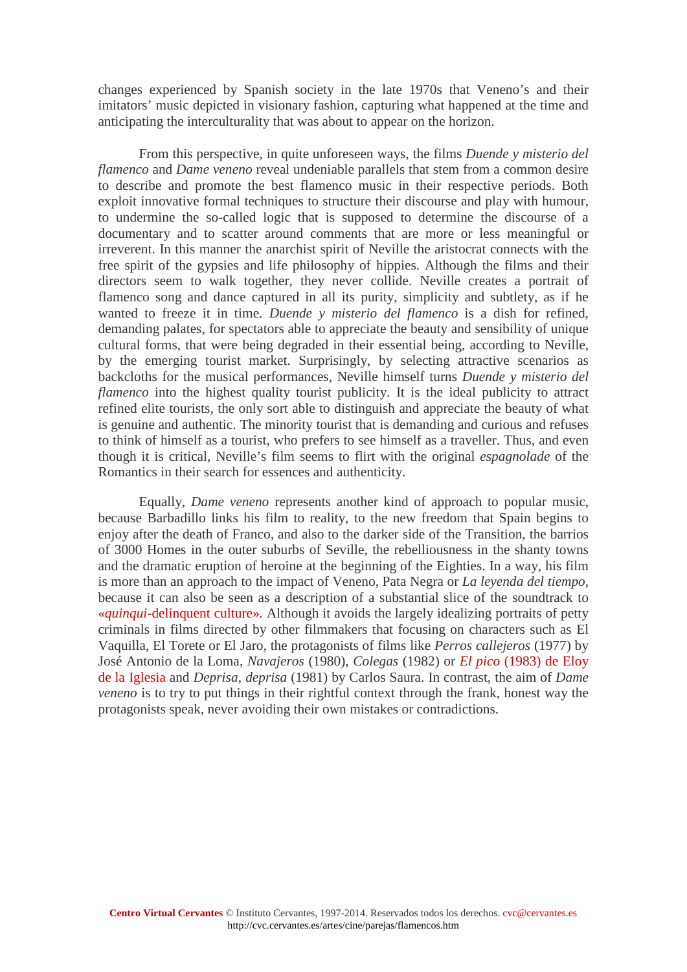changes experienced by Spanish society in the late 1970s that Veneno's and their imitators' music depicted in visionary fashion, capturing what happened at the time and anticipating the interculturality that was about to appear on the horizon.

From this perspective, in quite unforeseen ways, the films *Duende y misterio del flamenco* and *Dame veneno* reveal undeniable parallels that stem from a common desire to describe and promote the best flamenco music in their respective periods. Both exploit innovative formal techniques to structure their discourse and play with humour, to undermine the so-called logic that is supposed to determine the discourse of a documentary and to scatter around comments that are more or less meaningful or irreverent. In this manner the anarchist spirit of Neville the aristocrat connects with the free spirit of the gypsies and life philosophy of hippies. Although the films and their directors seem to walk together, they never collide. Neville creates a portrait of flamenco song and dance captured in all its purity, simplicity and subtlety, as if he wanted to freeze it in time. *Duende y misterio del flamenco* is a dish for refined, demanding palates, for spectators able to appreciate the beauty and sensibility of unique cultural forms, that were being degraded in their essential being, according to Neville, by the emerging tourist market. Surprisingly, by selecting attractive scenarios as backcloths for the musical performances, Neville himself turns *Duende y misterio del flamenco* into the highest quality tourist publicity. It is the ideal publicity to attract refined elite tourists, the only sort able to distinguish and appreciate the beauty of what is genuine and authentic. The minority tourist that is demanding and curious and refuses to think of himself as a tourist, who prefers to see himself as a traveller. Thus, and even though it is critical, Neville's film seems to flirt with the original *espagnolade* of the Romantics in their search for essences and authenticity.

Equally, *Dame veneno* represents another kind of approach to popular music, because Barbadillo links his film to reality, to the new freedom that Spain begins to enjoy after the death of Franco, and also to the darker side of the Transition, the barrios of 3000 Homes in the outer suburbs of Seville, the rebelliousness in the shanty towns and the dramatic eruption of heroine at the beginning of the Eighties. In a way, his film is more than an approach to the impact of Veneno, Pata Negra or *La leyenda del tiempo,*  because it can also be seen as a description of a substantial slice of the soundtrack to «*quinqui*[-delinquent culture».](http://cvc.cervantes.es/el_rinconete/anteriores/julio_10/29072010_01.htm) Although it avoids the largely idealizing portraits of petty criminals in films directed by other filmmakers that focusing on characters such as El Vaquilla, El Torete or El Jaro, the protagonists of films like *Perros callejeros* (1977) by José Antonio de la Loma, *Navajeros* (1980), *Colegas* (1982) or *El pico* [\(1983\) de Eloy](http://cvc.cervantes.es/el_rinconete/anteriores/abril_10/16042010_01.htm)  [de la Iglesia](http://cvc.cervantes.es/el_rinconete/anteriores/abril_10/16042010_01.htm) and *Deprisa, deprisa* (1981) by Carlos Saura. In contrast, the aim of *Dame veneno* is to try to put things in their rightful context through the frank, honest way the protagonists speak, never avoiding their own mistakes or contradictions.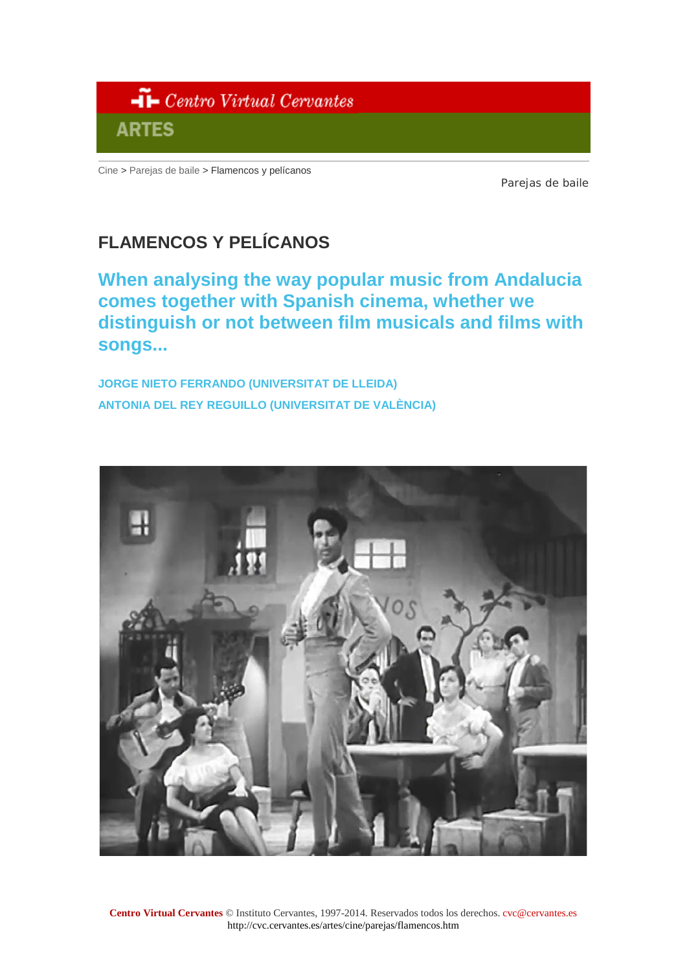

[Cine](http://cvc.cervantes.es/artes/cine/default.htm) > [Parejas de baile](http://cvc.cervantes.es/artes/cine/parejas/default.htm) > Flamencos y pelícanos

Parejas de baile

# **FLAMENCOS Y PELÍCANOS**

**When analysing the way popular music from Andalucia comes together with Spanish cinema, whether we distinguish or not between film musicals and films with songs...**

**JORGE NIETO FERRANDO [\(UNIVERSITAT DE LLEIDA\)](http://cvc.cervantes.es/artes/cine/parejas/nieto_rey.htm?en)  [ANTONIA DEL REY REGUILLO \(UNIVERSITAT DE VALÈNCIA\)](http://cvc.cervantes.es/artes/cine/parejas/nieto_rey.htm?en)** 

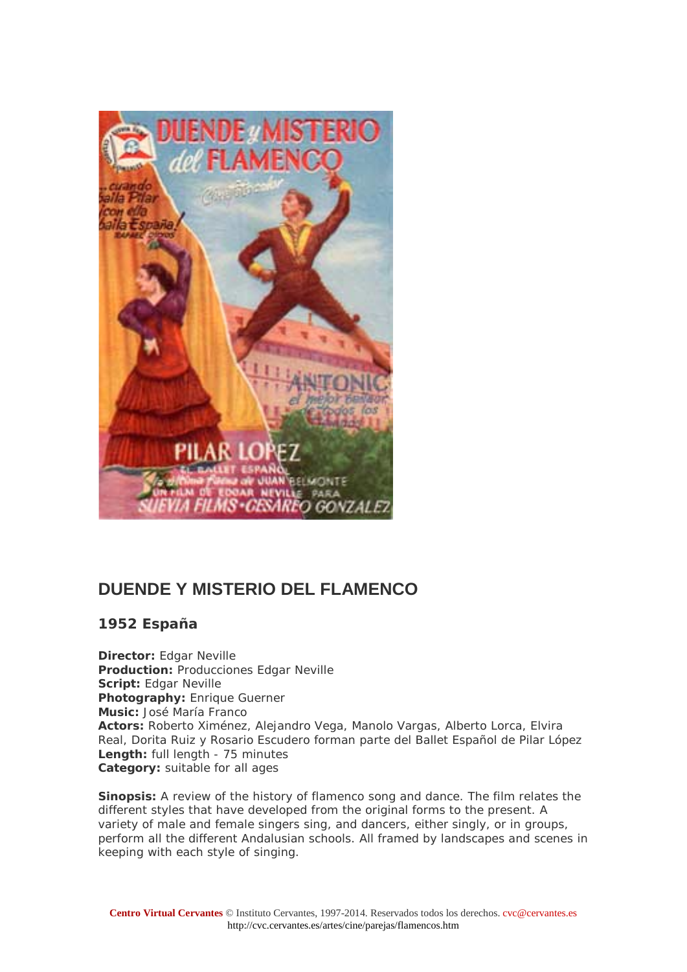

## **DUENDE Y MISTERIO DEL FLAMENCO**

**1952 España**

**Director:** Edgar Neville **Production:** Producciones Edgar Neville **Script:** Edgar Neville **Photography:** Enrique Guerner **Music:** José María Franco **Actors:** Roberto Ximénez, Alejandro Vega, Manolo Vargas, Alberto Lorca, Elvira Real, Dorita Ruiz y Rosario Escudero forman parte del Ballet Español de Pilar López **Length:** full length - 75 minutes **Category:** suitable for all ages

**Sinopsis:** A review of the history of flamenco song and dance. The film relates the different styles that have developed from the original forms to the present. A variety of male and female singers sing, and dancers, either singly, or in groups, perform all the different Andalusian schools. All framed by landscapes and scenes in keeping with each style of singing.